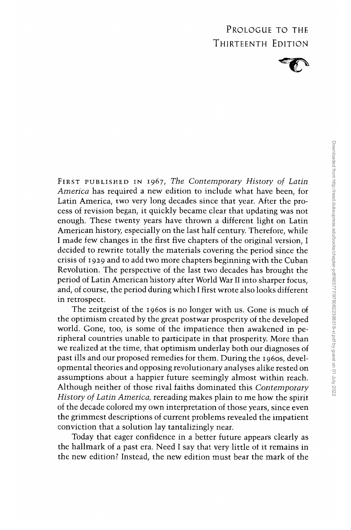## PROLOGUE TO THE THIRTEENTH EDITION



FIRST PUBLISHED IN 1967, *The Contemporary History of Latin America* has required a new edition to include what have been, for Latin America, two very long decades since that year. After the process of revision began, it quickly became clear that updating was not enough. These twenty years have thrown a different light on Latin American history, especially on the last half century. Therefore, while I made few changes in the first five chapters of the original version, I decided to rewrite totally the materials covering the period since the crisis of 1929 and to add two more chapters beginning with the Cuban Revolution. The perspective of the last two decades has brought the period of Latin American history after World War II into sharper focus, and, of course, the period during which I first wrote also looks different in retrospect.

The zeitgeist of the I960s is no longer with us. Gone is much of the optimism created by the great postwar prospcrity of the developed world. Gone, too, is some of the impatience then awakened in peripheral countries unable to participate in that prosperity. More than we realized at the time, that optimism underlay both our diagnoses of past ills and our proposed remedies for them. During the 1960S, developmental theories and opposing revolutionary analyses alike rested on assumptions about a happier future seemingly almost within reach. Although neither of those rival faiths dominated this *Contemporary History of Latin America,* rereading makes plain to me how the spirit of the decade colored my own interpretation of those years, since even the grimmest descriptions of current problems revealed the impatient conviction that a solution lay tantalizingly near.

Today that eager confidence in a better future appears clearly as the hallmark of a past era. Need I say that very little of it remains in the new edition? Instead, the new edition must bear the mark of the